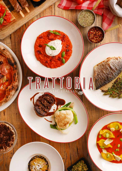# TRATIQRIA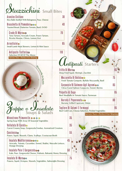### $\mathcal{S}$ tuzzichini Small Bites

| <b>Arancine Siciliane</b><br>Rice Balls Stuffed With Bolognese, Peas, Cheese                                                 |    |
|------------------------------------------------------------------------------------------------------------------------------|----|
| Bruschetta Al Pomodoro <b>ooo</b><br>Toasted Bread, Datterino Tomato, Basil, EVOO                                            |    |
| $\colon$ Crudo Di Mare $\bullet\bullet$<br>Tuna Tartare, Avocado Cream, Prawn Tartare,<br>Ricotta Mousse, Chives, Lemon Zest |    |
| <b>Arrosticini</b> o<br>Small Lamb Meat Skewers, Lemon & Mint Sauce                                                          | 65 |

**Mozzarella**

**B Di ufala**

### **110 Trattoria Antipasto**

**Selection Of All Of The Above** 



**Minestrone Primaverile @ @ @ @ Spring Soup With Array Of Seasonal Vegetables** 

 **135 Vellutata Di Carote Di Carote Di Vellutata Di Carote Di Vellutata Di Carote Di Vellutata Di Carote Di Ve Carrot Creamy Soup, Gorgonzola Fondue, Aromatized Croutons** 

**Cacciucco** Prawn, Squid, Mussels, Clams, Scallops, Crustacean Broth

**Insalata Mediterranea o components de la proprieta de la proprieta de la proprieta de la proprieta de la propr** Avocado, Tomato, Cucumber, Fennel, Shallot, Mesculin Lettuce, **Orange Dressing** 

**50 Gorgonzola E Pere Insalata**  Kale, Pear, Gorgonzola Cheese, Walnuts, Balsamic Honey Dressing

**75 Mare Di Insalata** Prawns, Squid, Octopus, Mussels, Vegetables, Salmoriglio Dressing

## Serves Two - Perfect For Sharing **Antipasti** Starters

**Milliana Antipacture** 

| Fritto Di Mare<br>Deep Fried Squid, Shrimps, Zucchini                                |    |
|--------------------------------------------------------------------------------------|----|
| Mozzarella Di Bufala@<br>Fresh Tomato Compote, Buffalo Mozzarella, Basil             | 75 |
| Carpaccio Di Salmone Agli Agrumiøø<br>Citrus Cured Salmon Carpaccio, Fennel, Berries | 85 |
| Polpette Al Sugo<br>Beef Meatballs In Tomato Sauce, Parmesan                         | 65 |
| Burrata E Peperonataos<br>Burrata, Grilled Capsicum, Onion                           |    |
| Tagliere Di Salumi E Formaggi                                                        |    |

Beef Cold Cuts, Cheese Selection, Pickled Vegetables

Serves Two - Perfect For Sharing

 $\int$ **Car**<sub>p</sub>accio di Salmone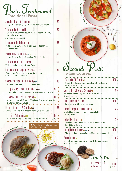### *Paste Tradizionali* **Pasta Traditional Pasta**

| Spaghetti Alla Carbonara<br>Spaghetti Gragnano, Egg, Pecorino Romano, Veal Bacon                                                      | 70  |
|---------------------------------------------------------------------------------------------------------------------------------------|-----|
| Tagliatelle Ai Funghi<br>Tagliatelle, Mushroom Sauce, Grana Padano Cheese,<br>Portobello Mushroom<br>Add chicken for additional AED 5 | 70  |
| Lasagna Alla Bolognese<br>Pasta Sheets Layered With Bolognese, Bechamel,<br><b>Grana Padano</b>                                       | 75  |
| Penne All'Arrabbiata©øo<br>Penne, Tomato Sauce, Fresh Red Chilli, Parsley                                                             | 50  |
| Tagliatelle Alla Bolognese<br>Tagliatelle, Bolognese, Grana Padano                                                                    | 65  |
| Calamarata Al Sugo Di Mare⊜<br>Calamarata Gragnano, Prawns, Squids, Mussels,<br>Clams, Datterino Tomato                               | 75  |
| Spaghetti Zucchine E Pinoli $\bullet\bullet$<br>Spaghetti Gragnano, Zucchini, Pine Seeds                                              | 60  |
| Tagliatelle Limone E Gamberioo<br>Tagliatelle, Butter, Lemon Zest, Raw Prawns, Pistachio                                              | 95  |
| Casoncelli Fave E Pecorino $\bullet$<br>Casoncelli Ravioli Stuffed With Fava Beans And Pecorino,<br><b>Datterino Tomato Sauce</b>     | 8 N |
| Risotto Gamberi E Carotess<br>Carnaroli Risotto, Crustacean Bisque, Prawns, Carrots                                                   | 85  |
| Risotto Tricolore®®<br>Carnaroli Risotto, Datterino Tomato, Burrata Cheese, Basil                                                     | 65  |
| We Can Prepare Your Favorite Sauce<br>Oste Con Asparagi Croccanti<br>With Gluten-Free Pasta                                           |     |
|                                                                                                                                       |     |
| Tagliata Di Filetto                                                                                                                   |     |



**Transform Your Dish With Truffle** 

**Market Price**